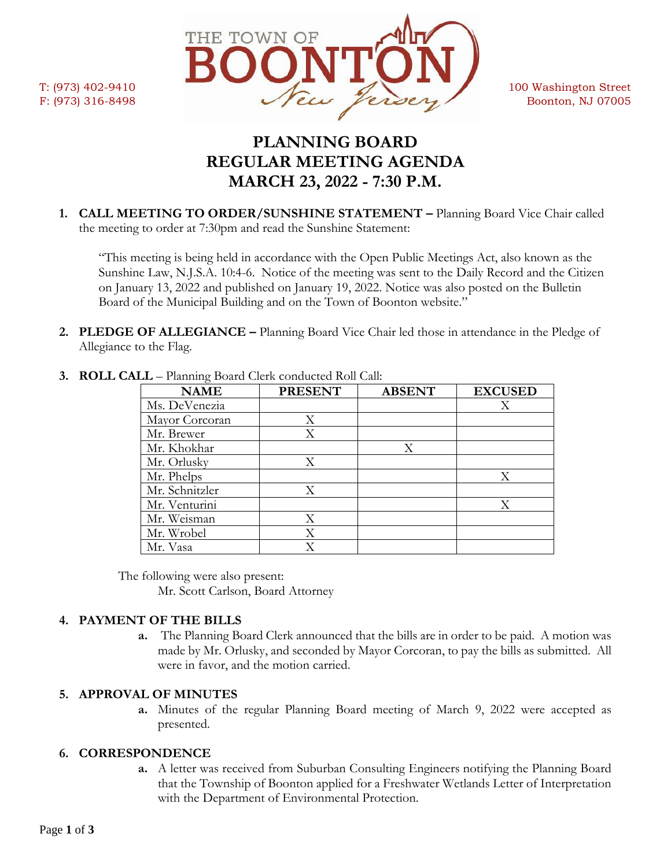

# **PLANNING BOARD REGULAR MEETING AGENDA MARCH 23, 2022 - 7:30 P.M.**

**1. CALL MEETING TO ORDER/SUNSHINE STATEMENT –** Planning Board Vice Chair called the meeting to order at 7:30pm and read the Sunshine Statement:

"This meeting is being held in accordance with the Open Public Meetings Act, also known as the Sunshine Law, N.J.S.A. 10:4-6. Notice of the meeting was sent to the Daily Record and the Citizen on January 13, 2022 and published on January 19, 2022. Notice was also posted on the Bulletin Board of the Municipal Building and on the Town of Boonton website."

**2. PLEDGE OF ALLEGIANCE –** Planning Board Vice Chair led those in attendance in the Pledge of Allegiance to the Flag.

| <b>NAME</b>    | <b>PRESENT</b> | <b>ABSENT</b> | <b>EXCUSED</b> |
|----------------|----------------|---------------|----------------|
| Ms. DeVenezia  |                |               | Х              |
| Mayor Corcoran | X              |               |                |
| Mr. Brewer     | X              |               |                |
| Mr. Khokhar    |                | X             |                |
| Mr. Orlusky    | X              |               |                |
| Mr. Phelps     |                |               | Χ              |
| Mr. Schnitzler | X              |               |                |
| Mr. Venturini  |                |               | X              |
| Mr. Weisman    | X              |               |                |
| Mr. Wrobel     | Χ              |               |                |
| Mr. Vasa       |                |               |                |

**3. ROLL CALL** – Planning Board Clerk conducted Roll Call:

The following were also present: Mr. Scott Carlson, Board Attorney

## **4. PAYMENT OF THE BILLS**

**a.** The Planning Board Clerk announced that the bills are in order to be paid. A motion was made by Mr. Orlusky, and seconded by Mayor Corcoran, to pay the bills as submitted. All were in favor, and the motion carried.

## **5. APPROVAL OF MINUTES**

**a.** Minutes of the regular Planning Board meeting of March 9, 2022 were accepted as presented.

## **6. CORRESPONDENCE**

**a.** A letter was received from Suburban Consulting Engineers notifying the Planning Board that the Township of Boonton applied for a Freshwater Wetlands Letter of Interpretation with the Department of Environmental Protection.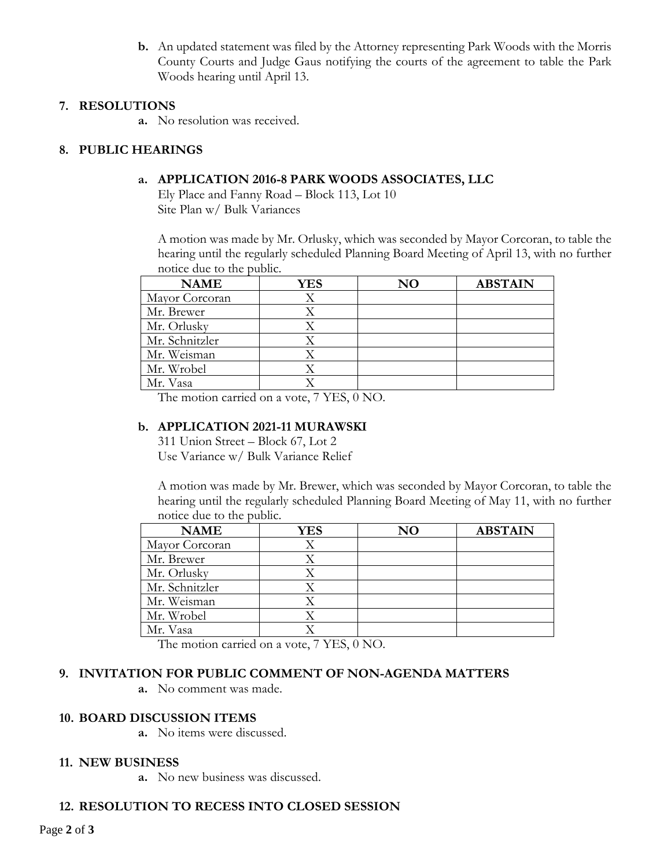**b.** An updated statement was filed by the Attorney representing Park Woods with the Morris County Courts and Judge Gaus notifying the courts of the agreement to table the Park Woods hearing until April 13.

#### **7. RESOLUTIONS**

**a.** No resolution was received.

#### **8. PUBLIC HEARINGS**

#### **a. APPLICATION 2016-8 PARK WOODS ASSOCIATES, LLC**

Ely Place and Fanny Road – Block 113, Lot 10 Site Plan w/ Bulk Variances

A motion was made by Mr. Orlusky, which was seconded by Mayor Corcoran, to table the hearing until the regularly scheduled Planning Board Meeting of April 13, with no further notice due to the public.

| <b>NAME</b>    | YES | $\bf NO$ | <b>ABSTAIN</b> |
|----------------|-----|----------|----------------|
| Mayor Corcoran |     |          |                |
| Mr. Brewer     |     |          |                |
| Mr. Orlusky    |     |          |                |
| Mr. Schnitzler |     |          |                |
| Mr. Weisman    |     |          |                |
| Mr. Wrobel     |     |          |                |
| Mr. Vasa       |     |          |                |

The motion carried on a vote, 7 YES, 0 NO.

#### **b. APPLICATION 2021-11 MURAWSKI**

311 Union Street – Block 67, Lot 2 Use Variance w/ Bulk Variance Relief

A motion was made by Mr. Brewer, which was seconded by Mayor Corcoran, to table the hearing until the regularly scheduled Planning Board Meeting of May 11, with no further notice due to the public.

| <b>NAME</b>    | YES | NO | <b>ABSTAIN</b> |
|----------------|-----|----|----------------|
| Mayor Corcoran |     |    |                |
| Mr. Brewer     |     |    |                |
| Mr. Orlusky    |     |    |                |
| Mr. Schnitzler |     |    |                |
| Mr. Weisman    |     |    |                |
| Mr. Wrobel     |     |    |                |
| Mr. Vasa       |     |    |                |

The motion carried on a vote, 7 YES, 0 NO.

## **9. INVITATION FOR PUBLIC COMMENT OF NON-AGENDA MATTERS**

**a.** No comment was made.

#### **10. BOARD DISCUSSION ITEMS**

**a.** No items were discussed.

#### **11. NEW BUSINESS**

**a.** No new business was discussed.

## **12. RESOLUTION TO RECESS INTO CLOSED SESSION**